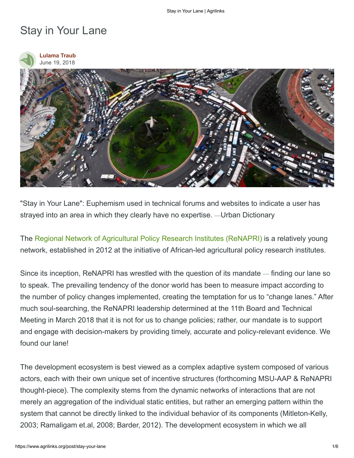## Stay in Your Lane





"Stay in Your Lane": Euphemism used in technical forums and websites to indicate a user has strayed into an area in which they clearly have no expertise. —Urban Dictionary

The [Regional Network of Agricultural Policy Research Institutes \(ReNAPRI\)](http://www.renapri.org/) is a relatively young network, established in 2012 at the initiative of African-led agricultural policy research institutes.

Since its inception, ReNAPRI has wrestled with the question of its mandate — finding our lane so to speak. The prevailing tendency of the donor world has been to measure impact according to the number of policy changes implemented, creating the temptation for us to "change lanes." After much soul-searching, the ReNAPRI leadership determined at the 11th Board and Technical Meeting in March 2018 that it is not for us to change policies; rather, our mandate is to support and engage with decision-makers by providing timely, accurate and policy-relevant evidence. We found our lane!

The development ecosystem is best viewed as a complex adaptive system composed of various actors, each with their own unique set of incentive structures (forthcoming MSU-AAP & ReNAPRI thought-piece). The complexity stems from the dynamic networks of interactions that are not merely an aggregation of the individual static entities, but rather an emerging pattern within the system that cannot be directly linked to the individual behavior of its components (Mitleton-Kelly, 2003; Ramaligam et.al, 2008; Barder, 2012). The development ecosystem in which we all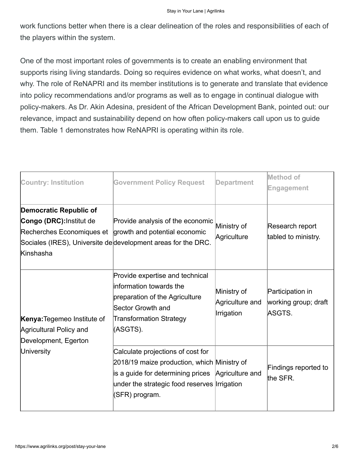work functions better when there is a clear delineation of the roles and responsibilities of each of the players within the system.

One of the most important roles of governments is to create an enabling environment that supports rising living standards. Doing so requires evidence on what works, what doesn't, and why. The role of ReNAPRI and its member institutions is to generate and translate that evidence into policy recommendations and/or programs as well as to engage in continual dialogue with policy-makers. As Dr. Akin Adesina, president of the African Development Bank, pointed out: our relevance, impact and sustainability depend on how often policy-makers call upon us to guide them. Table 1 demonstrates how ReNAPRI is operating within its role.

| <b>Country: Institution</b>                                                                         | <b>Government Policy Request</b>                                                                                                                                                                        | <b>Department</b>                            | <b>Method of</b><br><b>Engagement</b>              |
|-----------------------------------------------------------------------------------------------------|---------------------------------------------------------------------------------------------------------------------------------------------------------------------------------------------------------|----------------------------------------------|----------------------------------------------------|
| <b>Democratic Republic of</b><br>Congo (DRC): Institut de<br>Recherches Economiques et<br>Kinshasha | Provide analysis of the economic<br>growth and potential economic<br>Sociales (IRES), Universite de development areas for the DRC.                                                                      | Ministry of<br>Agriculture                   | Research report<br>tabled to ministry.             |
| <b>Kenya: Tegemeo Institute of</b><br>Agricultural Policy and<br>Development, Egerton<br>University | Provide expertise and technical<br>information towards the<br>preparation of the Agriculture<br>Sector Growth and<br><b>Transformation Strategy</b><br>(ASGTS).                                         | Ministry of<br>Agriculture and<br>Irrigation | Participation in<br>working group; draft<br>ASGTS. |
|                                                                                                     | Calculate projections of cost for<br>2018/19 maize production, which Ministry of<br>is a guide for determining prices Agriculture and<br>under the strategic food reserves Irrigation<br>(SFR) program. |                                              | Findings reported to<br>the SFR.                   |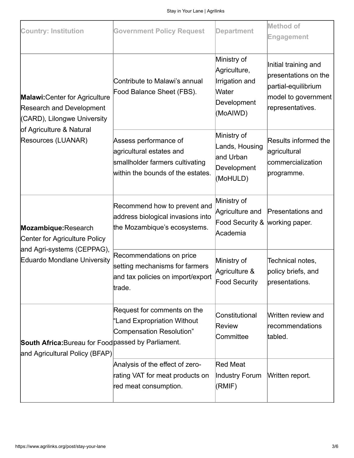| <b>Country: Institution</b>                                                                                                                               | <b>Government Policy Request</b>                                                                                          | <b>Department</b>                                                                 | <b>Method of</b><br><b>Engagement</b>                                                                          |
|-----------------------------------------------------------------------------------------------------------------------------------------------------------|---------------------------------------------------------------------------------------------------------------------------|-----------------------------------------------------------------------------------|----------------------------------------------------------------------------------------------------------------|
| <b>Malawi: Center for Agriculture</b><br><b>Research and Development</b><br>(CARD), Lilongwe University<br>of Agriculture & Natural<br>Resources (LUANAR) | Contribute to Malawi's annual<br>Food Balance Sheet (FBS).                                                                | Ministry of<br>Agriculture,<br>Irrigation and<br>Water<br>Development<br>(MoAIWD) | Initial training and<br>presentations on the<br>partial-equilibrium<br>model to government<br>representatives. |
|                                                                                                                                                           | Assess performance of<br>agricultural estates and<br>smallholder farmers cultivating<br>within the bounds of the estates. | Ministry of<br>Lands, Housing<br>and Urban<br>Development<br>(MoHULD)             | <b>Results informed the</b><br>agricultural<br>commercialization<br>programme.                                 |
| Mozambique: Research<br>Center for Agriculture Policy<br>and Agri-systems (CEPPAG),<br>Eduardo Mondlane University                                        | Recommend how to prevent and<br>address biological invasions into<br>the Mozambique's ecosystems.                         | Ministry of<br>Agriculture and<br>Food Security & working paper.<br>Academia      | Presentations and                                                                                              |
|                                                                                                                                                           | Recommendations on price<br>setting mechanisms for farmers<br>and tax policies on import/export<br>trade.                 | Ministry of<br>Agriculture &<br>Food Security                                     | Technical notes,<br>policy briefs, and<br>presentations.                                                       |
| South Africa: Bureau for Food passed by Parliament.<br>and Agricultural Policy (BFAP)                                                                     | Request for comments on the<br>"Land Expropriation Without<br>Compensation Resolution"                                    | Constitutional<br><b>Review</b><br>Committee                                      | Written review and<br>recommendations<br>tabled.                                                               |
|                                                                                                                                                           | Analysis of the effect of zero-<br>rating VAT for meat products on<br>red meat consumption.                               | <b>Red Meat</b><br>Industry Forum<br>(RMIF)                                       | Written report.                                                                                                |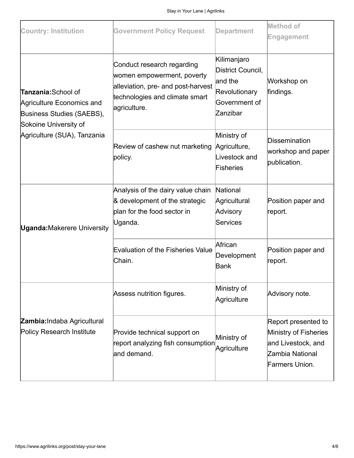| <b>Country: Institution</b>                                                                                                           | <b>Government Policy Request</b>                                                                                                                 | <b>Department</b>                                                                         | <b>Method of</b>                                                                                        |
|---------------------------------------------------------------------------------------------------------------------------------------|--------------------------------------------------------------------------------------------------------------------------------------------------|-------------------------------------------------------------------------------------------|---------------------------------------------------------------------------------------------------------|
|                                                                                                                                       |                                                                                                                                                  |                                                                                           | <b>Engagement</b>                                                                                       |
| Tanzania: School of<br>Agriculture Economics and<br>Business Studies (SAEBS),<br>Sokoine University of<br>Agriculture (SUA), Tanzania | Conduct research regarding<br>women empowerment, poverty<br>alleviation, pre- and post-harvest<br>technologies and climate smart<br>agriculture. | Kilimanjaro<br>District Council,<br>and the<br>Revolutionary<br>Government of<br>Zanzibar | Workshop on<br>findings.                                                                                |
|                                                                                                                                       | Review of cashew nut marketing<br>policy.                                                                                                        | Ministry of<br>Agriculture,<br>Livestock and<br>Fisheries                                 | <b>Dissemination</b><br>workshop and paper<br>publication.                                              |
| <b>Uganda: Makerere University</b>                                                                                                    | Analysis of the dairy value chain<br>& development of the strategic<br>plan for the food sector in<br>Uganda.                                    | National<br>Agricultural<br>Advisory<br>Services                                          | Position paper and<br>report.                                                                           |
|                                                                                                                                       | <b>Evaluation of the Fisheries Value</b><br>Chain.                                                                                               | African<br>Development<br>Bank                                                            | Position paper and<br>report.                                                                           |
| Zambia: Indaba Agricultural<br><b>Policy Research Institute</b>                                                                       | Assess nutrition figures.                                                                                                                        | Ministry of<br>Agriculture                                                                | Advisory note.                                                                                          |
|                                                                                                                                       | Provide technical support on<br>report analyzing fish consumption<br>and demand.                                                                 | Ministry of<br>Agriculture                                                                | Report presented to<br>Ministry of Fisheries<br>and Livestock, and<br>Zambia National<br>Farmers Union. |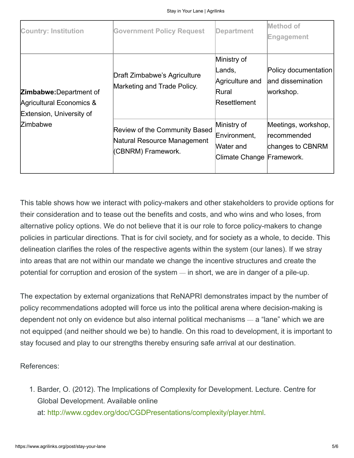| <b>Country: Institution</b>                                                            | <b>Government Policy Request</b>                                                   | <b>Department</b>                                                     | Method of<br>Engagement                                |
|----------------------------------------------------------------------------------------|------------------------------------------------------------------------------------|-----------------------------------------------------------------------|--------------------------------------------------------|
| <b>Zimbabwe:</b> Department of<br>Agricultural Economics &<br>Extension, University of | Draft Zimbabwe's Agriculture<br>Marketing and Trade Policy.                        | Ministry of<br>Lands,<br>Agriculture and<br>Rural<br>Resettlement     | Policy documentation<br>and dissemination<br>workshop. |
| <b>Zimbabwe</b>                                                                        | Review of the Community Based<br>Natural Resource Management<br>(CBNRM) Framework. | Ministry of<br>Environment,<br>Water and<br>Climate Change Framework. | Meetings, workshop,<br>recommended<br>changes to CBNRM |

This table shows how we interact with policy-makers and other stakeholders to provide options for their consideration and to tease out the benefits and costs, and who wins and who loses, from alternative policy options. We do not believe that it is our role to force policy-makers to change policies in particular directions. That is for civil society, and for society as a whole, to decide. This delineation clarifies the roles of the respective agents within the system (our lanes). If we stray into areas that are not within our mandate we change the incentive structures and create the potential for corruption and erosion of the system — in short, we are in danger of a pile-up.

The expectation by external organizations that ReNAPRI demonstrates impact by the number of policy recommendations adopted will force us into the political arena where decision-making is dependent not only on evidence but also internal political mechanisms — a "lane" which we are not equipped (and neither should we be) to handle. On this road to development, it is important to stay focused and play to our strengths thereby ensuring safe arrival at our destination.

References:

1. Barder, O. (2012). The Implications of Complexity for Development. Lecture. Centre for Global Development. Available online at:<http://www.cgdev.org/doc/CGDPresentations/complexity/player.html>.